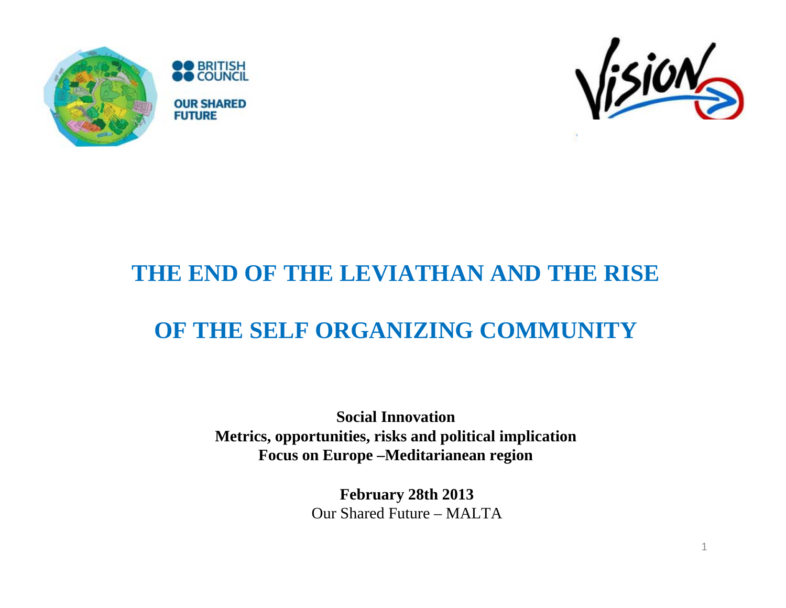





#### **THE END OF THE LEVIATHAN AND THE RISE**

#### **OF THE SELF ORGANIZING COMMUNITY**

**Social InnovationMetrics, opportunities, risks and political implication Focus on Europe –Meditarianean region** 

> **February 28th 2013** Our Shared Future – MALTA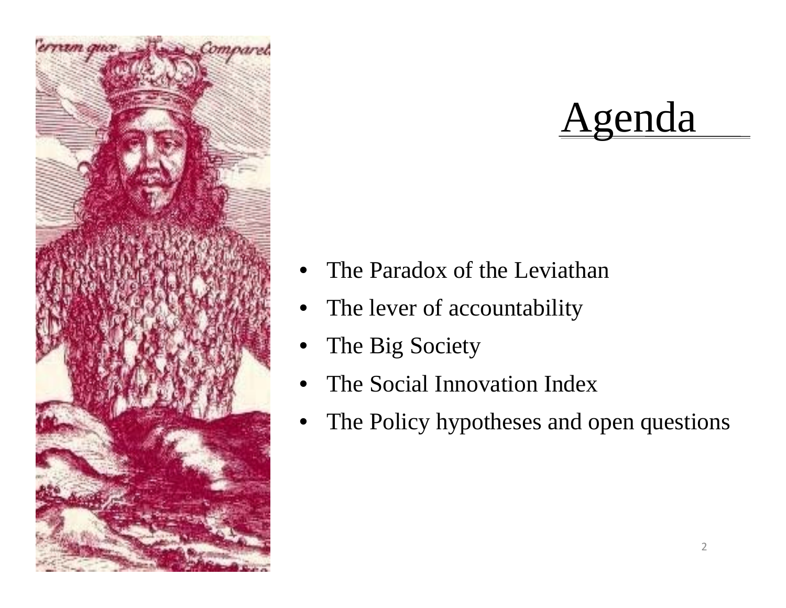

# Agenda

- The Paradox of the Leviathan
- The lever of accountability
- The Big Society
- The Social Innovation Index
- The Policy hypotheses and open questions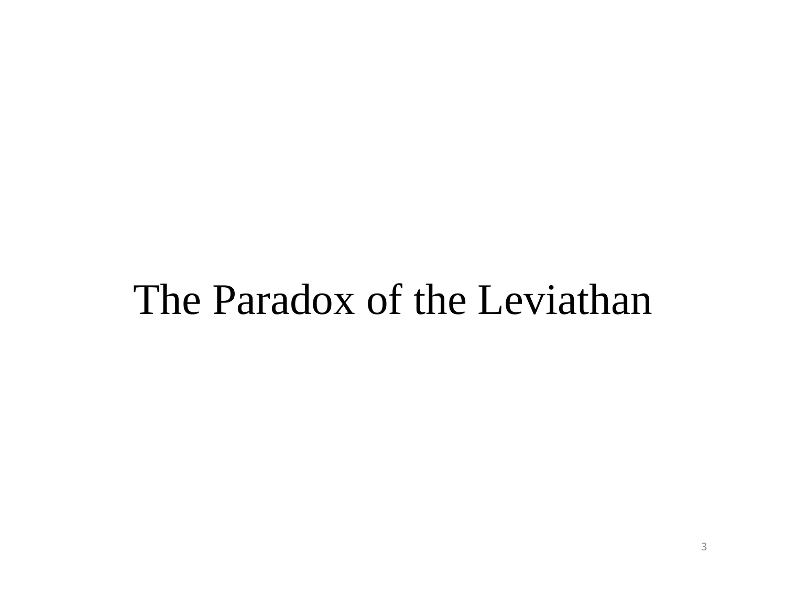# The Paradox of the Leviathan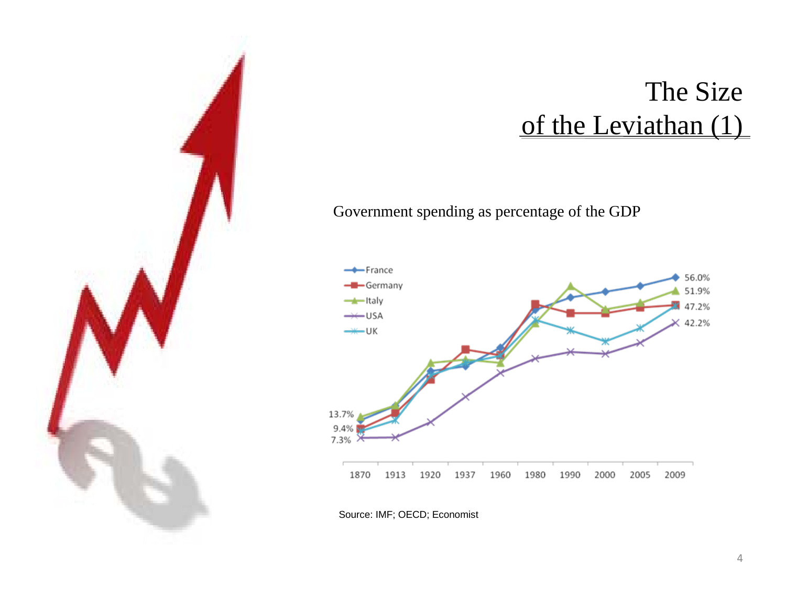

Government spending as percentage of the GDP



Source: IMF; OECD; Economist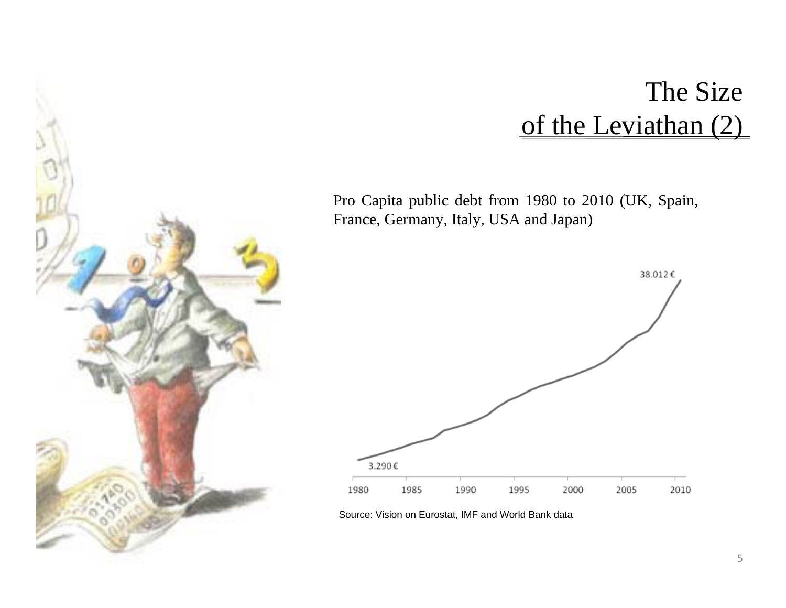#### The Size of the Leviathan (2)

Pro Capita public debt from 1980 to 2010 (UK, Spain, France, Germany, Italy, USA and Japan)



Source: Vision on Eurostat, IMF and World Bank data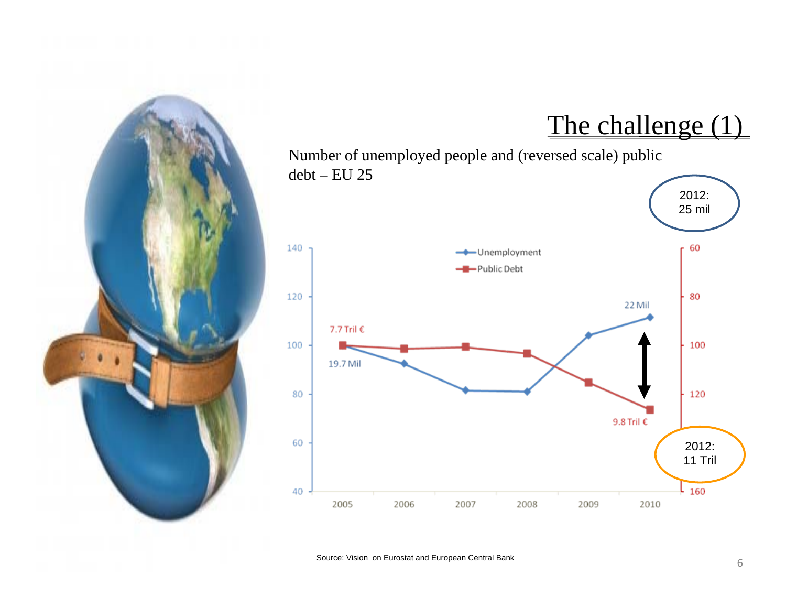

#### The challenge (1)

Number of unemployed people and (reversed scale) public debt – EU 25

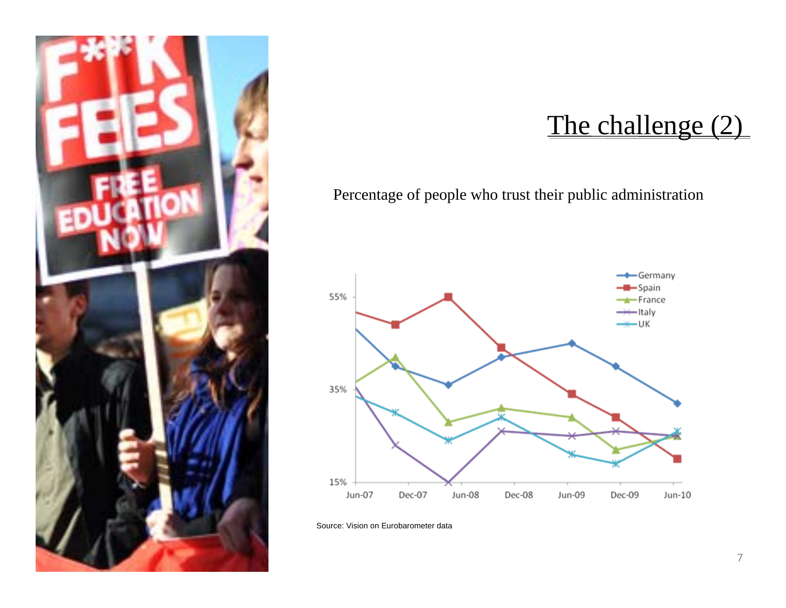

#### The challenge (2)

Percentage of people who trust their public administration



Source: Vision on Eurobarometer data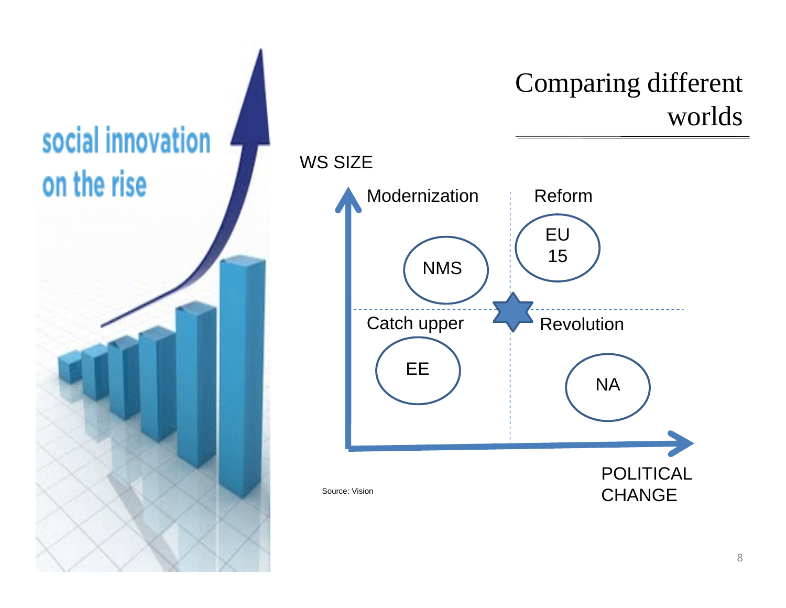

### Comparing different worlds

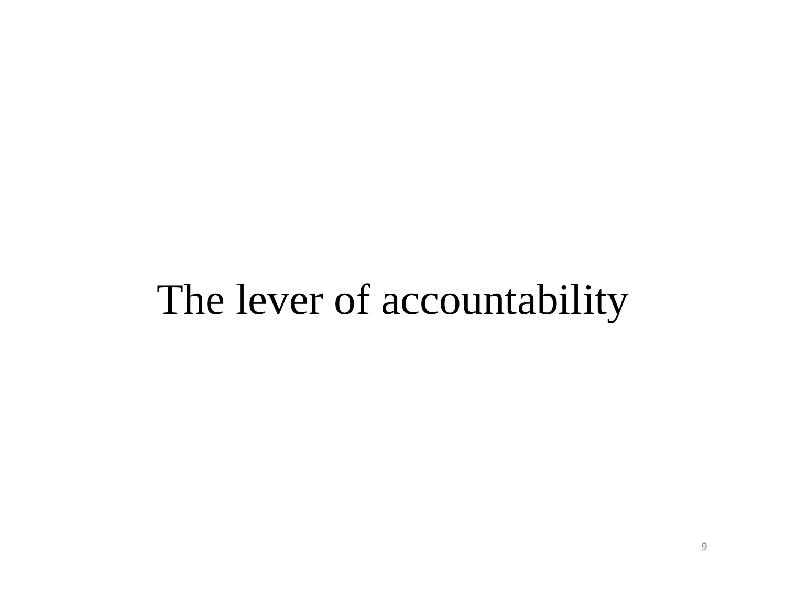# The lever of accountability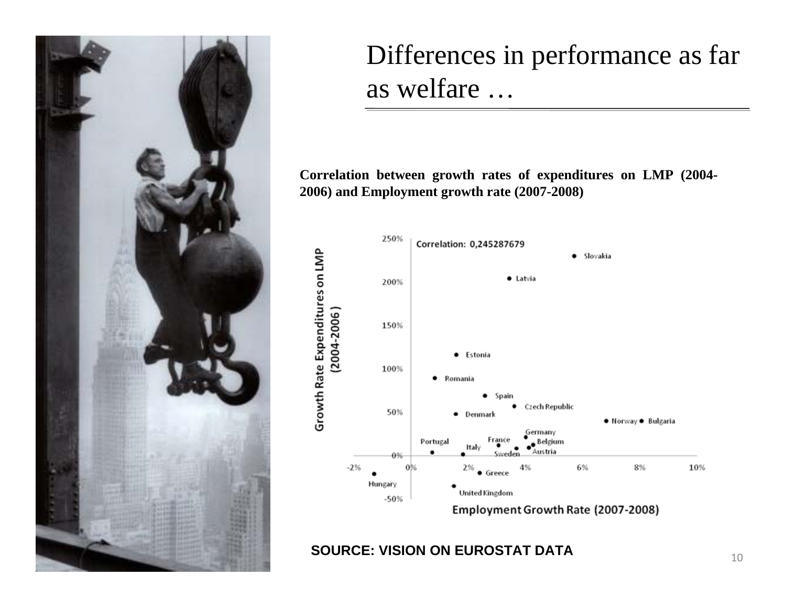

### Differences in performance as far as welfare …

**Correlation between growth rates of expenditures on LMP (2004- 2006) and Employment growth rate (2007-2008)**



**SOURCE: VISION ON EUROSTAT DATA**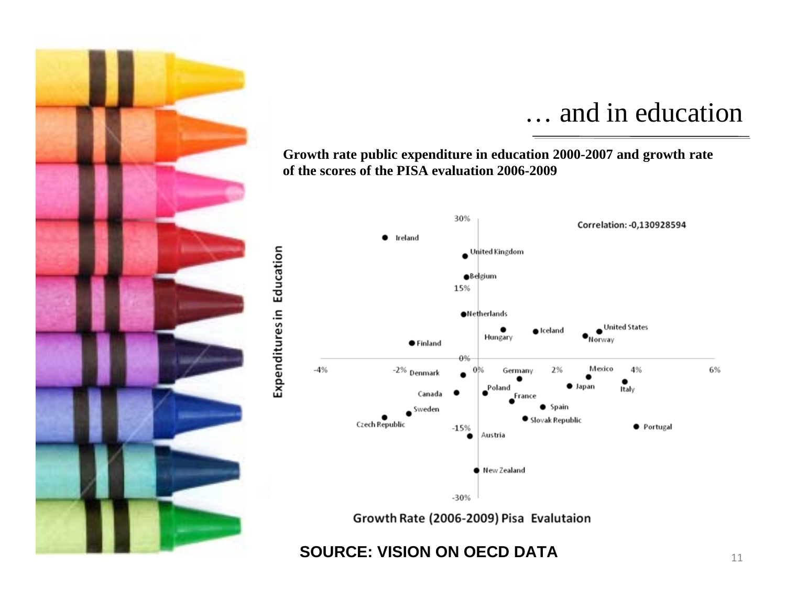

Expenditures in Education

#### … and in education

**Growth rate public expenditure in education 2000-2007 and growth rate of the scores of the PISA evaluation 2006-2009**



Growth Rate (2006-2009) Pisa Evalutaion

**SOURCE: VISION ON OECD DATA**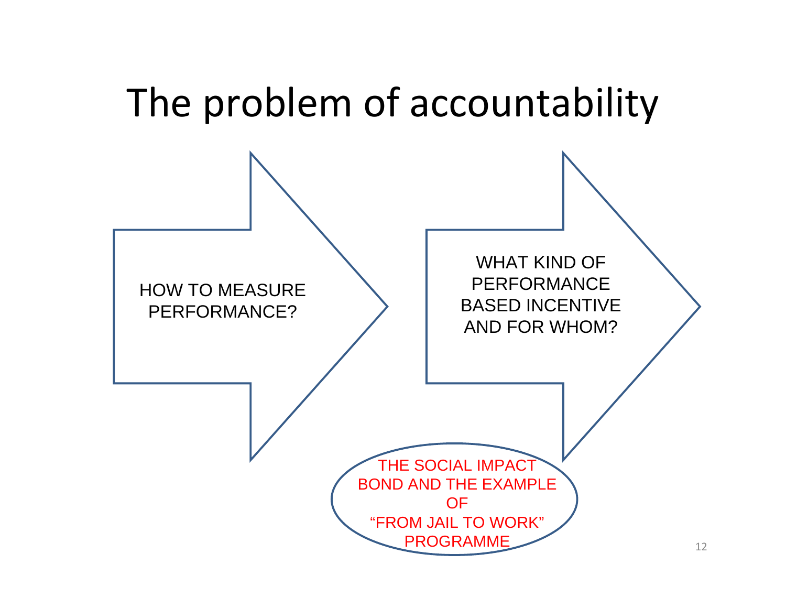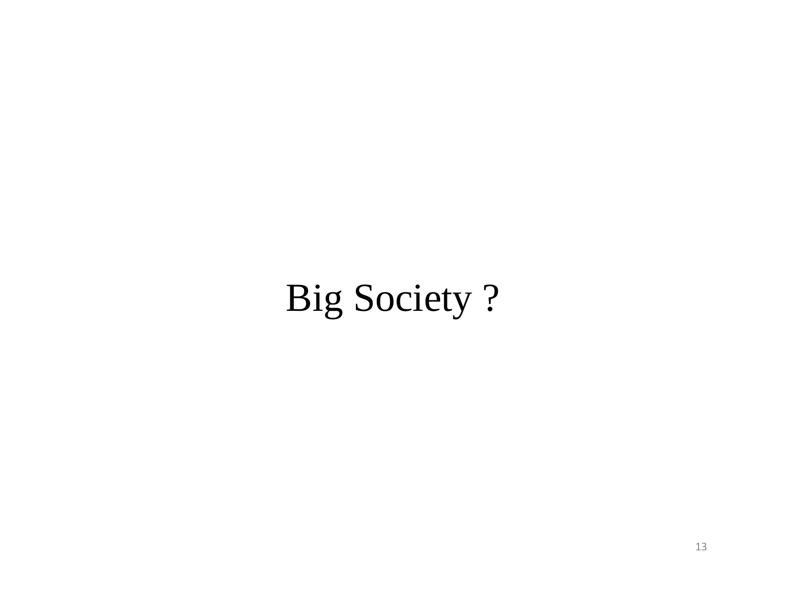# Big Society ?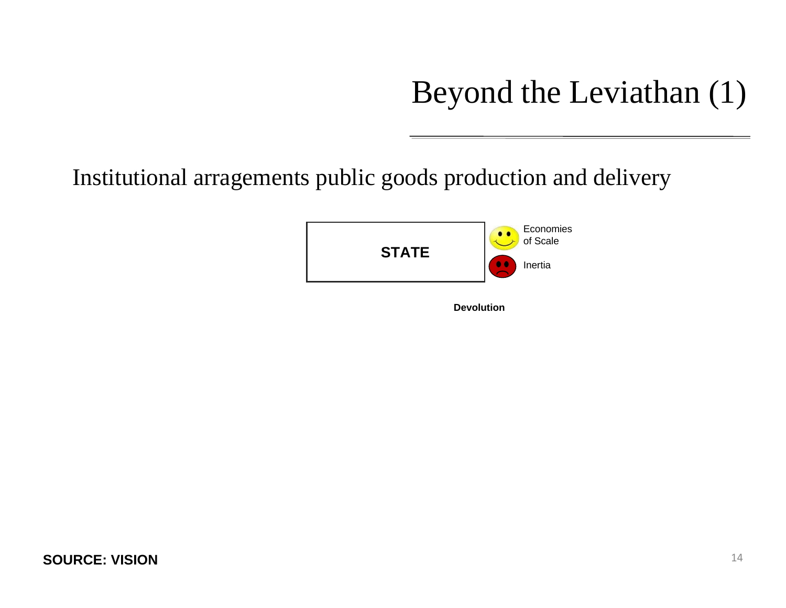## Beyond the Leviathan (1)

Institutional arragements public goods production and delivery

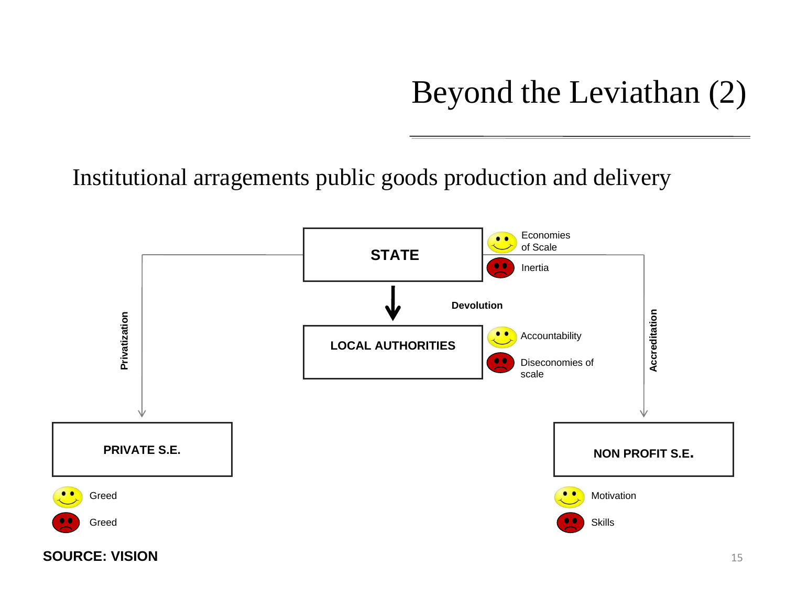## Beyond the Leviathan (2)

Institutional arragements public goods production and delivery

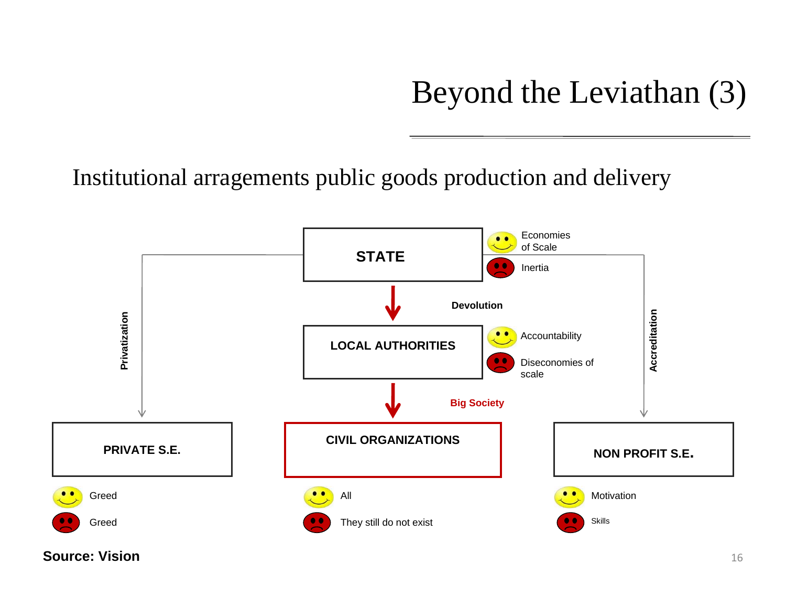## Beyond the Leviathan (3)

Institutional arragements public goods production and delivery



**Source: Vision**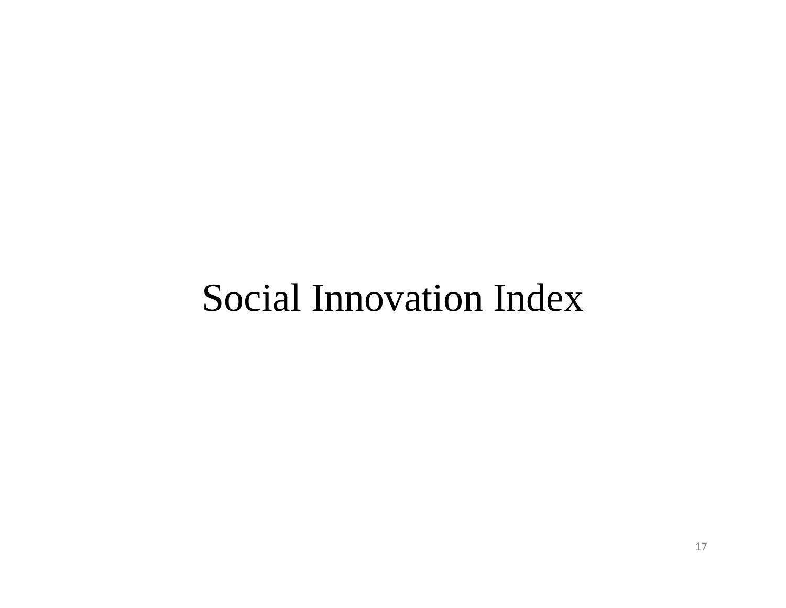# Social Innovation Index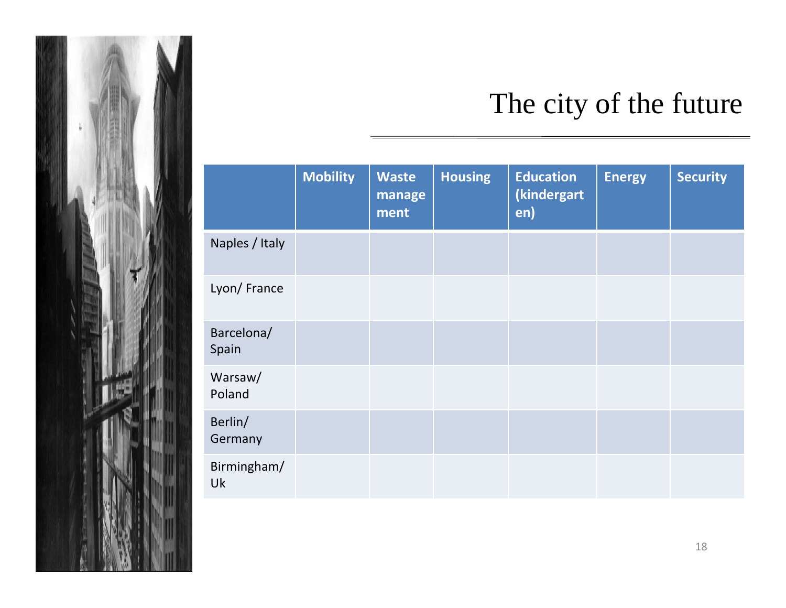

## The city of the future

|                     | <b>Mobility</b> | <b>Waste</b><br>manage<br>ment | <b>Housing</b> | <b>Education</b><br>(kindergart<br>en) | <b>Energy</b> | <b>Security</b> |
|---------------------|-----------------|--------------------------------|----------------|----------------------------------------|---------------|-----------------|
| Naples / Italy      |                 |                                |                |                                        |               |                 |
| Lyon/France         |                 |                                |                |                                        |               |                 |
| Barcelona/<br>Spain |                 |                                |                |                                        |               |                 |
| Warsaw/<br>Poland   |                 |                                |                |                                        |               |                 |
| Berlin/<br>Germany  |                 |                                |                |                                        |               |                 |
| Birmingham/<br>Uk   |                 |                                |                |                                        |               |                 |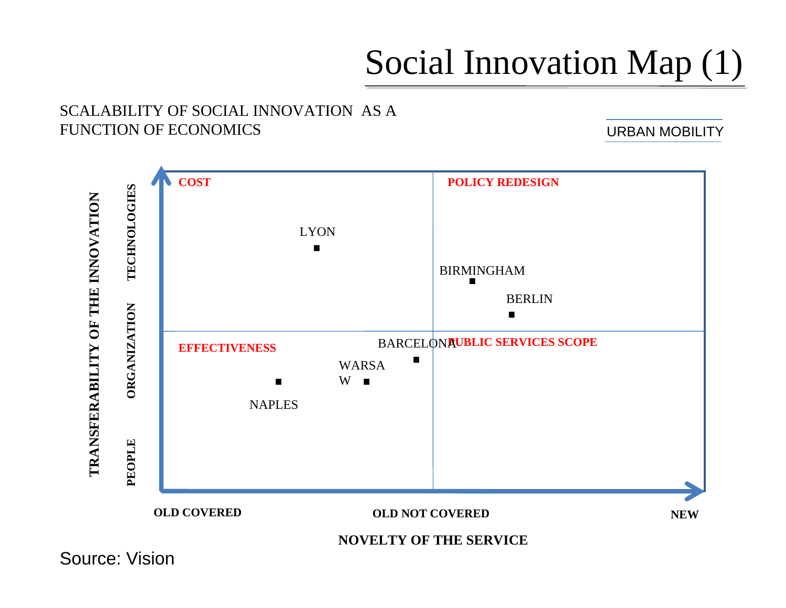## Social Innovation Map (1)

#### SCALABILITY OF SOCIAL INNOVATION AS A FUNCTION OF ECONOMICS

URBAN MOBILITY



Source: Vision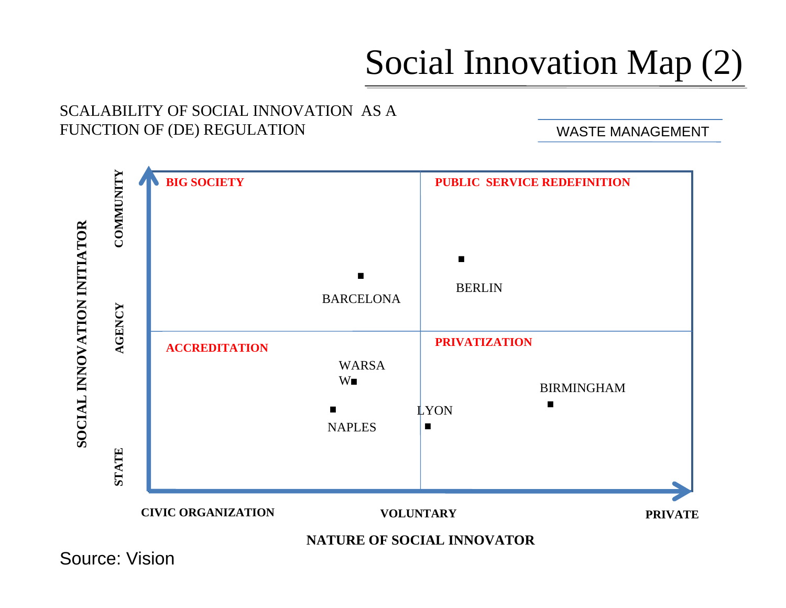## Social Innovation Map (2)

#### SCALABILITY OF SOCIAL INNOVATION AS A FUNCTION OF (DE) REGULATION

WASTE MANAGEMENT



Source: Vision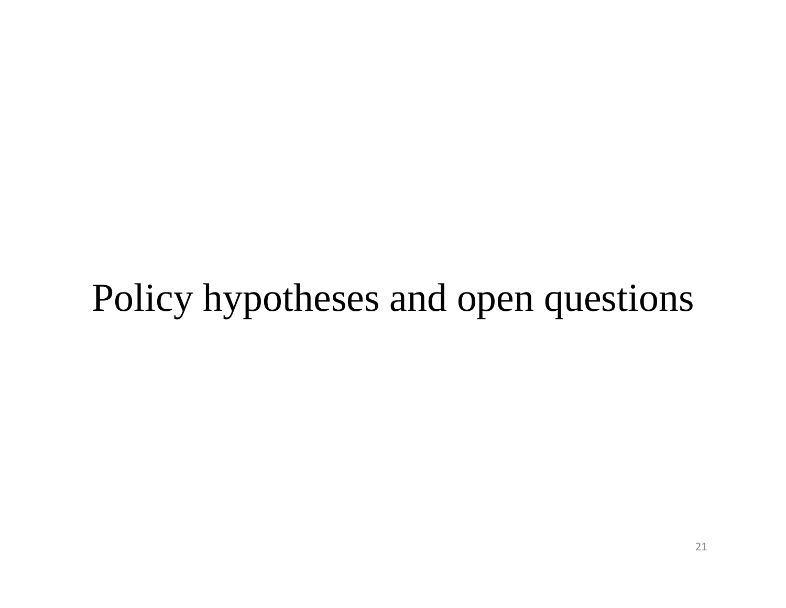# Policy hypotheses and open questions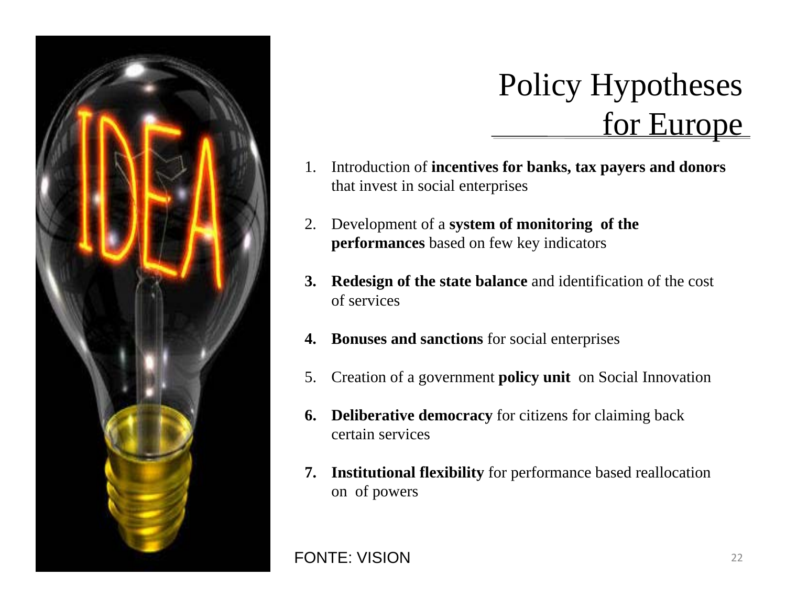

## Policy Hypotheses for Europe

- 1. Introduction of **incentives for banks, tax payers and donors**  that invest in social enterprises
- 2. Development of a **system of monitoring of the performances** based on few key indicators
- **3. Redesign of the state balance** and identification of the cost of services
- **4. Bonuses and sanctions** for social enterprises
- 5. Creation of a government **policy unit** on Social Innovation
- **6. Deliberative democracy** for citizens for claiming back certain services
- **7. Institutional flexibility** for performance based reallocation on of powers

FONTE: VISION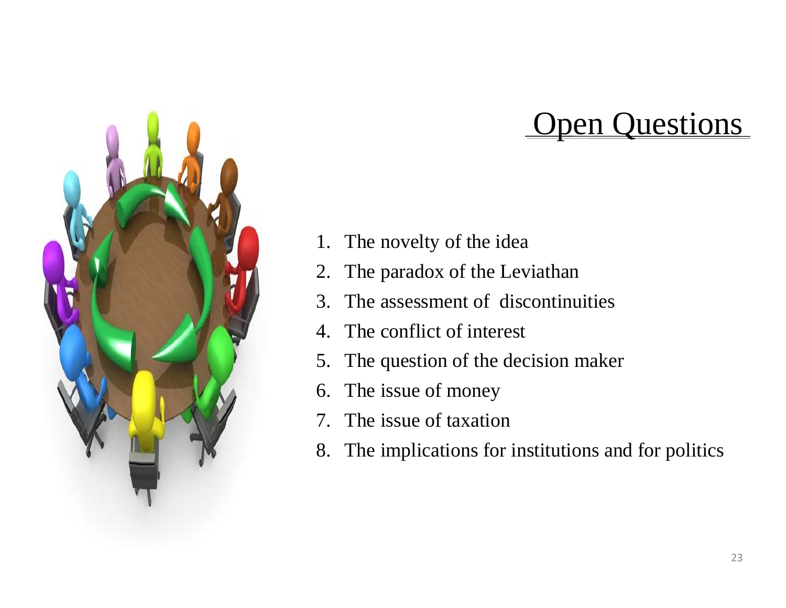

## **Open Questions**

- 1. The novelty of the idea
- 2. The paradox of the Leviathan
- 3. The assessment of discontinuities
- 4. The conflict of interest
- 5. The question of the decision maker
- 6. The issue of money
- 7. The issue of taxation
- 8. The implications for institutions and for politics